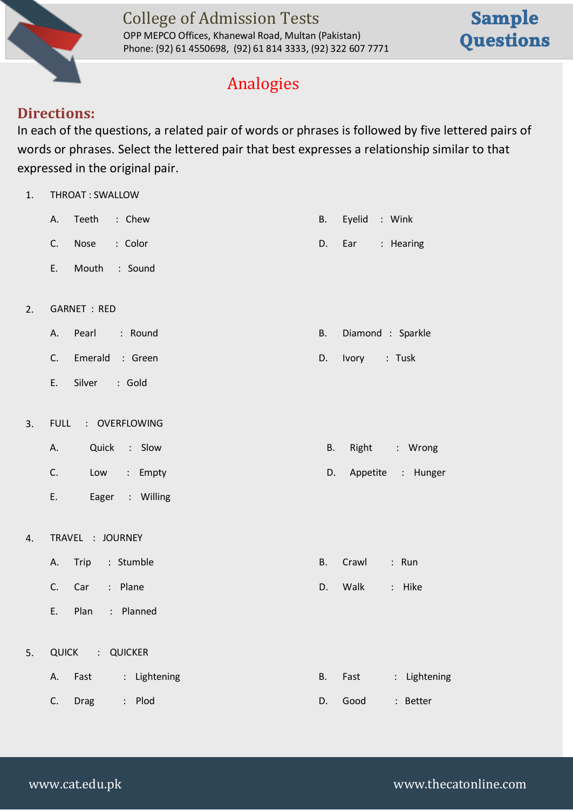

OPP MEPCO Offices, Khanewal Road, Multan (Pakistan) Phone: (92) 61 4550698, (92) 61 814 3333, (92) 322 607 7771

# **Sample Questions**

### Analogies

#### **Directions:**

In each of the questions, a related pair of words or phrases is followed by five lettered pairs of words or phrases. Select the lettered pair that best expresses a relationship similar to that expressed in the original pair.

| 1. | THROAT: SWALLOW                           |                               |  |  |  |  |  |
|----|-------------------------------------------|-------------------------------|--|--|--|--|--|
|    | Teeth<br>: Chew<br>А.                     | <b>B.</b><br>Eyelid<br>: Wink |  |  |  |  |  |
|    | C.<br>Nose<br>: Color                     | D.<br>Ear<br>: Hearing        |  |  |  |  |  |
|    | : Sound<br>E.<br>Mouth                    |                               |  |  |  |  |  |
|    |                                           |                               |  |  |  |  |  |
| 2. | <b>GARNET : RED</b>                       |                               |  |  |  |  |  |
|    | Pearl<br>: Round<br>А.                    | Diamond : Sparkle<br>В.       |  |  |  |  |  |
|    | Emerald : Green<br>C.                     | Ivory<br>: Tusk<br>D.         |  |  |  |  |  |
|    | Silver<br>E.<br>: Gold                    |                               |  |  |  |  |  |
|    |                                           |                               |  |  |  |  |  |
| 3. | <b>FULL</b><br>: OVERFLOWING              |                               |  |  |  |  |  |
|    | Quick : Slow<br>А.                        | <b>B.</b><br>Right<br>: Wrong |  |  |  |  |  |
|    | C.<br>: Empty<br>Low                      | Appetite : Hunger<br>D.       |  |  |  |  |  |
|    | E.<br>Eager<br>: Willing                  |                               |  |  |  |  |  |
|    |                                           |                               |  |  |  |  |  |
| 4. | TRAVEL : JOURNEY                          |                               |  |  |  |  |  |
|    | : Stumble<br>Trip<br>А.                   | Crawl<br>: Run<br>В.          |  |  |  |  |  |
|    | : Plane<br>C.<br>Car                      | Walk<br>D.<br>: Hike          |  |  |  |  |  |
|    | E.<br>Plan<br>: Planned                   |                               |  |  |  |  |  |
|    |                                           |                               |  |  |  |  |  |
| 5. | QUICK<br>$\ddot{\cdot}$<br><b>QUICKER</b> |                               |  |  |  |  |  |
|    | : Lightening<br>Fast<br>А.                | Fast<br>B.<br>Lightening      |  |  |  |  |  |
|    | : Plod<br>C.<br><b>Drag</b>               | D.<br>Good<br>: Better        |  |  |  |  |  |
|    |                                           |                               |  |  |  |  |  |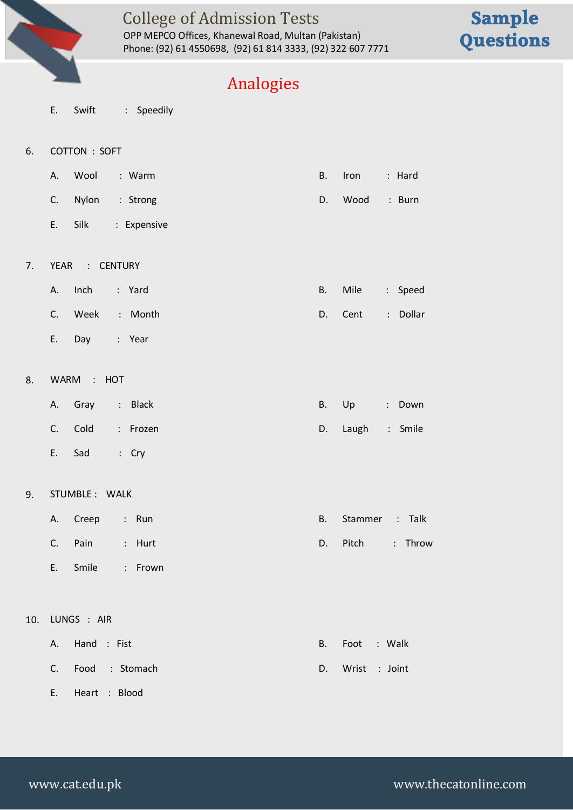

OPP MEPCO Offices, Khanewal Road, Multan (Pakistan) Phone: (92) 61 4550698, (92) 61 814 3333, (92) 322 607 7771

# **Sample Questions**

#### Analogies

- E. Swift : Speedily
- 6. COTTON : SOFT
	- A. Wool : Warm **B. Iron : Hard** C. Nylon : Strong D. Wood : Burn E. Silk : Expensive
- 7. YEAR : CENTURY
	- A. Inch : Yard B. Mile : Speed C. Week : Month **D. Cent : Dollar**
	- E. Day : Year
- 8. WARM : HOT
	- A. Gray : Black B. Up : Down C. Cold : Frozen **D. Laugh : Smile** E. Sad : Cry
- 9. STUMBLE : WALK
	- A. Creep : Run B. Stammer : Talk C. Pain : Hurt **D. Pitch : Throw**
	- E. Smile : Frown

E. Heart : Blood

#### 10. LUNGS : AIR

| A. Hand : Fist |                   |  | B. Foot : Walk   |
|----------------|-------------------|--|------------------|
|                | C. Food : Stomach |  | D. Wrist : Joint |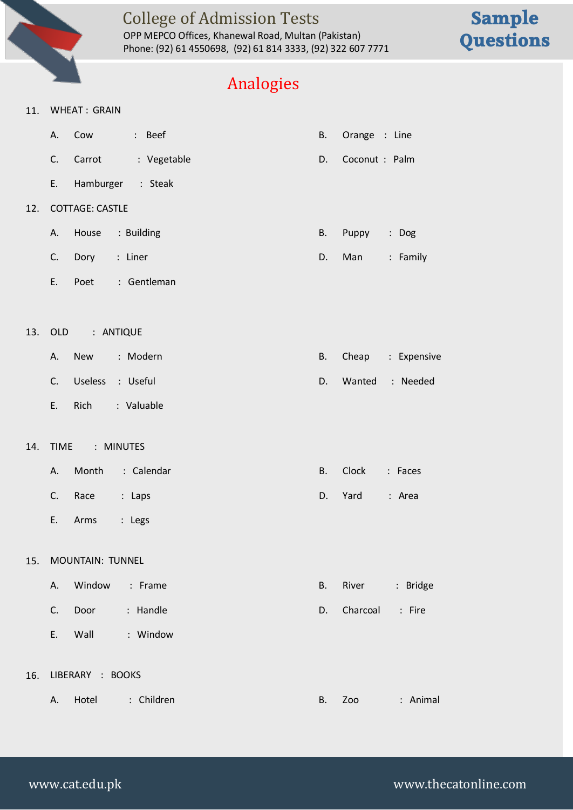

OPP MEPCO Offices, Khanewal Road, Multan (Pakistan) Phone: (92) 61 4550698, (92) 61 814 3333, (92) 322 607 7771

## **Sample Questions**

### Analogies

#### 11. WHEAT : GRAIN

|     | А.  |                        | Cow : Beef        | В. | Orange : Line  |             |
|-----|-----|------------------------|-------------------|----|----------------|-------------|
|     | C.  | Carrot                 | : Vegetable       | D. | Coconut : Palm |             |
|     | E.  |                        | Hamburger : Steak |    |                |             |
| 12. |     | <b>COTTAGE: CASTLE</b> |                   |    |                |             |
|     | А.  |                        | House : Building  | В. | Puppy          | : Dog       |
|     | C.  | Dory : Liner           |                   | D. | Man            | : Family    |
|     | Ε.  | Poet                   | : Gentleman       |    |                |             |
|     |     |                        |                   |    |                |             |
| 13. |     | OLD : ANTIQUE          |                   |    |                |             |
|     | А.  | <b>New</b>             | : Modern          | В. | Cheap          | : Expensive |
|     | C.  | <b>Useless</b>         | : Useful          | D. | Wanted         | : Needed    |
|     | E., | Rich                   | : Valuable        |    |                |             |
| 14. |     | TIME : MINUTES         |                   |    |                |             |
|     |     |                        |                   |    |                |             |
|     | А.  |                        | Month : Calendar  | В. | Clock          | : Faces     |
|     | C.  | Race                   | : Laps            | D. | Yard           | : Area      |
|     | Ε.  | Arms                   | : Legs            |    |                |             |
| 15. |     | MOUNTAIN: TUNNEL       |                   |    |                |             |
|     |     |                        |                   |    |                |             |
|     | А.  | Window                 | : Frame           | B. | River          | : Bridge    |
|     | C.  | Door                   | : Handle          | D. | Charcoal       | : Fire      |
|     | Ε.  | Wall                   | : Window          |    |                |             |
|     |     |                        |                   |    |                |             |
| 16. |     | LIBERARY : BOOKS       |                   |    |                |             |
|     | А.  | Hotel                  | : Children        | В. | Zoo            | : Animal    |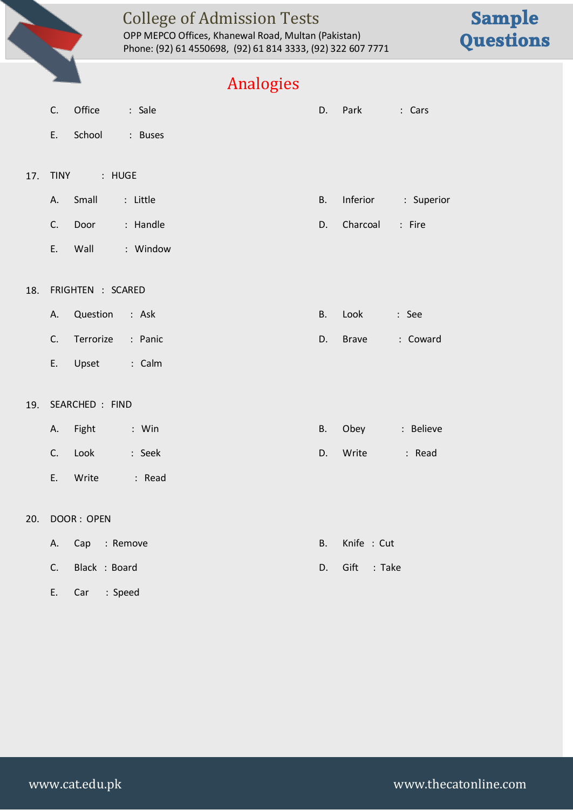

OPP MEPCO Offices, Khanewal Road, Multan (Pakistan) Phone: (92) 61 4550698, (92) 61 814 3333, (92) 322 607 7771

## **Sample Questions**

### Analogies

|     | C.             | Office            | : Sale                  | D.        | Park           | : Cars              |
|-----|----------------|-------------------|-------------------------|-----------|----------------|---------------------|
|     | E.             | School            | : Buses                 |           |                |                     |
|     |                |                   |                         |           |                |                     |
| 17. |                | TINY : HUGE       |                         |           |                |                     |
|     | A.             | Small             | : Little                | <b>B.</b> |                | Inferior : Superior |
|     | C.             | Door              | : Handle                | D.        | Charcoal       | : Fire              |
|     | E.             | Wall              | <b>Example 1</b> Window |           |                |                     |
|     |                |                   |                         |           |                |                     |
| 18. |                | FRIGHTEN : SCARED |                         |           |                |                     |
|     | Α.             | Question : Ask    |                         | B.        | Look           | : See               |
|     | C.             | Terrorize : Panic |                         | D.        | <b>Brave</b>   | : Coward            |
|     |                | E. Upset          | calm : Calm             |           |                |                     |
|     |                |                   |                         |           |                |                     |
| 19. |                | SEARCHED : FIND   |                         |           |                |                     |
|     | А.             | Fight             | $:$ Win                 | В.        | Obey : Believe |                     |
|     |                | C. Look           | : Seek                  | D.        | Write          | : Read              |
|     | E.             | Write             | Read: Read              |           |                |                     |
|     |                |                   |                         |           |                |                     |
| 20. |                | DOOR: OPEN        |                         |           |                |                     |
|     | А.             | Cap : Remove      |                         | B.        | Knife : Cut    |                     |
|     | C <sub>1</sub> | Black : Board     |                         | D.        | Gift<br>: Take |                     |
|     |                |                   |                         |           |                |                     |

E. Car : Speed